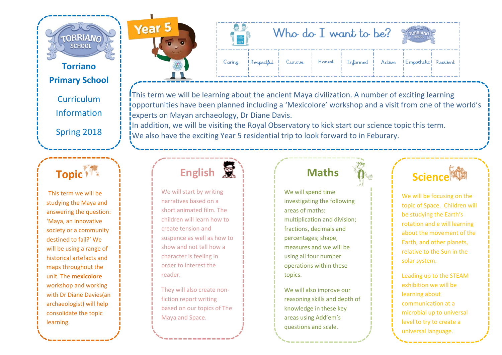

#### **Torriano Primary School**

**Curriculum** Information

Spring 2018

### **Topic**<sup>8</sup>

This term we will be studying the Maya and answering the question: 'Maya, an innovative society or a community destined to fail?' We will be using a range of historical artefacts and maps throughout the unit. The **mexicolore**  workshop and working with Dr Diane Davies(an archaeologist) will help consolidate the topic learning.



|        |                                                                          | Who do I want to be? |  |  |  |  |  |  |
|--------|--------------------------------------------------------------------------|----------------------|--|--|--|--|--|--|
| Caring | Respectful Curious   Honest   Informed   Active   Empathetic   Resilient |                      |  |  |  |  |  |  |

This term we will be learning about the ancient Maya civilization. A number of exciting learning opportunities have been planned including a 'Mexicolore' workshop and a visit from one of the world's experts on Mayan archaeology, Dr Diane Davis.

In addition, we will be visiting the Royal Observatory to kick start our science topic this term. We also have the exciting Year 5 residential trip to look forward to in Feburary.

## **English**

We will start by writing narratives based on a short animated film. The children will learn how to create tension and suspence as well as how to show and not tell how a character is feeling in order to interest the reader.

They will also create nonfiction report writing based on our topics of The Maya and Space.

### **Maths**

We will spend time investigating the following areas of maths: multiplication and division; fractions, decimals and percentages; shape, measures and we will be using all four number operations within these topics.

We will also improve our reasoning skills and depth of knowledge in these key areas using Add'em's questions and scale.

### **Science**

We will be focusing on the topic of Space. Children will be studying the Earth's rotation and e will learning about the movement of the Earth, and other planets, relative to the Sun in the solar system.

Leading up to the STEAM exhibition we will be learning about communication at a microbial up to universal level to try to create a universal language.